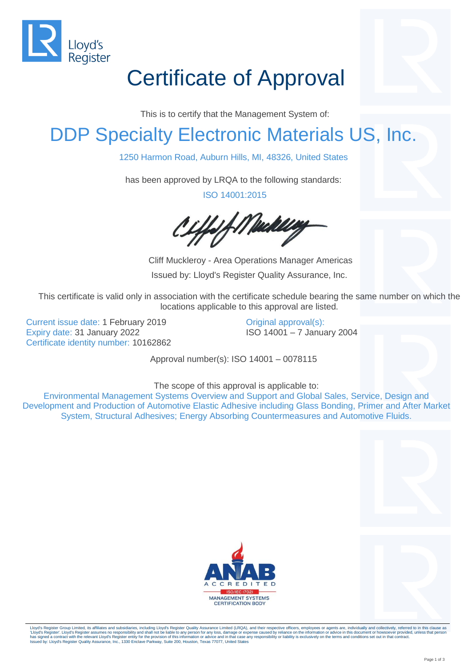

## Certificate of Approval

This is to certify that the Management System of:

## DDP Specialty Electronic Materials US, Inc.

1250 Harmon Road, Auburn Hills, MI, 48326, United States

has been approved by LRQA to the following standards:

ISO 14001:2015

1f Mackley

Cliff Muckleroy - Area Operations Manager Americas Issued by: Lloyd's Register Quality Assurance, Inc.

This certificate is valid only in association with the certificate schedule bearing the same number on which the locations applicable to this approval are listed.

Current issue date: 1 February 2019 Expiry date: 31 January 2022 Certificate identity number: 10162862 Original approval(s): ISO 14001 – 7 January 2004

Approval number(s): ISO 14001 – 0078115

The scope of this approval is applicable to:

Environmental Management Systems Overview and Support and Global Sales, Service, Design and Development and Production of Automotive Elastic Adhesive including Glass Bonding, Primer and After Market System, Structural Adhesives; Energy Absorbing Countermeasures and Automotive Fluids.





Lloyd's Register Group Limited, its affiliates and subsidiaries, including Lloyd's Register Quality Assurance Limited (LRQA), and their respective officers, employees or agents are, individually and collectively, referred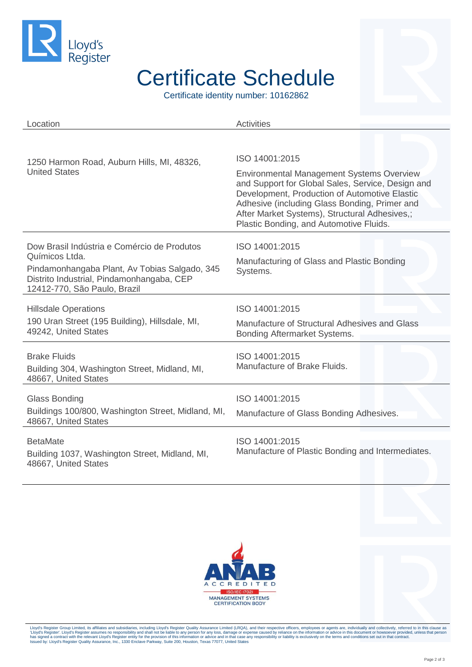

## Certificate Schedule

Certificate identity number: 10162862

| Location                                                                                                                                                                                    | <b>Activities</b>                                                                                                                                                                                                                                                                                   |
|---------------------------------------------------------------------------------------------------------------------------------------------------------------------------------------------|-----------------------------------------------------------------------------------------------------------------------------------------------------------------------------------------------------------------------------------------------------------------------------------------------------|
|                                                                                                                                                                                             |                                                                                                                                                                                                                                                                                                     |
| 1250 Harmon Road, Auburn Hills, MI, 48326,<br><b>United States</b>                                                                                                                          | ISO 14001:2015                                                                                                                                                                                                                                                                                      |
|                                                                                                                                                                                             | <b>Environmental Management Systems Overview</b><br>and Support for Global Sales, Service, Design and<br>Development, Production of Automotive Elastic<br>Adhesive (including Glass Bonding, Primer and<br>After Market Systems), Structural Adhesives,;<br>Plastic Bonding, and Automotive Fluids. |
| Dow Brasil Indústria e Comércio de Produtos<br>Químicos Ltda.<br>Pindamonhangaba Plant, Av Tobias Salgado, 345<br>Distrito Industrial, Pindamonhangaba, CEP<br>12412-770, São Paulo, Brazil | ISO 14001:2015                                                                                                                                                                                                                                                                                      |
|                                                                                                                                                                                             | Manufacturing of Glass and Plastic Bonding<br>Systems.                                                                                                                                                                                                                                              |
| <b>Hillsdale Operations</b>                                                                                                                                                                 | ISO 14001:2015                                                                                                                                                                                                                                                                                      |
| 190 Uran Street (195 Building), Hillsdale, MI,<br>49242, United States                                                                                                                      | Manufacture of Structural Adhesives and Glass<br>Bonding Aftermarket Systems.                                                                                                                                                                                                                       |
| <b>Brake Fluids</b><br>Building 304, Washington Street, Midland, MI,<br>48667, United States                                                                                                | ISO 14001:2015<br>Manufacture of Brake Fluids.                                                                                                                                                                                                                                                      |
| <b>Glass Bonding</b>                                                                                                                                                                        | ISO 14001:2015                                                                                                                                                                                                                                                                                      |
| Buildings 100/800, Washington Street, Midland, MI,<br>48667, United States                                                                                                                  | Manufacture of Glass Bonding Adhesives.                                                                                                                                                                                                                                                             |
| <b>BetaMate</b><br>Building 1037, Washington Street, Midland, MI,<br>48667, United States                                                                                                   | ISO 14001:2015<br>Manufacture of Plastic Bonding and Intermediates.                                                                                                                                                                                                                                 |





Lloyd's Register Group Limited, its affiliates and subsidiaries, including Lloyd's Register Quality Assurance Limited (LRQA), and their respective officers, employees or agents are, individually and collectively, referred